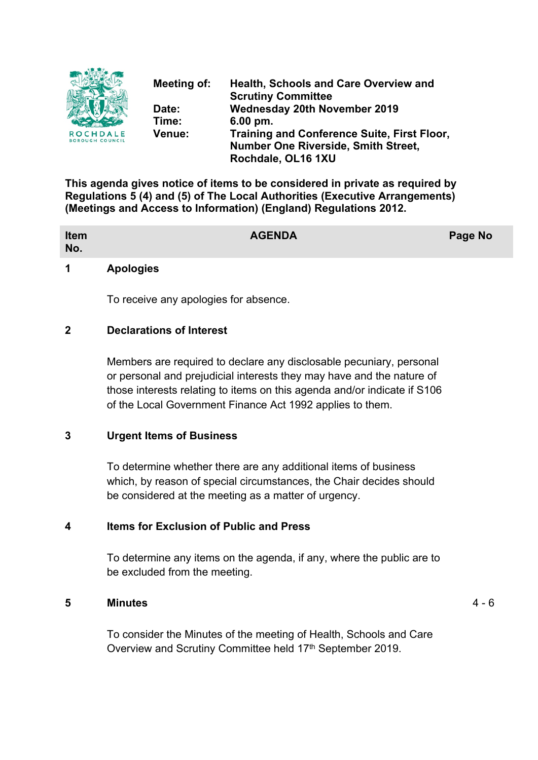

**Meeting of: Health, Schools and Care Overview and Scrutiny Committee Date: Wednesday 20th November 2019 Time: 6.00 pm. Venue: Training and Conference Suite, First Floor, Number One Riverside, Smith Street, Rochdale, OL16 1XU**

**This agenda gives notice of items to be considered in private as required by Regulations 5 (4) and (5) of The Local Authorities (Executive Arrangements) (Meetings and Access to Information) (England) Regulations 2012.**

| Item<br>No.                                                                     | <b>AGENDA</b> | Page No |
|---------------------------------------------------------------------------------|---------------|---------|
| the contract of the contract of the contract of the contract of the contract of |               |         |

#### **1 Apologies**

To receive any apologies for absence.

#### **2 Declarations of Interest**

Members are required to declare any disclosable pecuniary, personal or personal and prejudicial interests they may have and the nature of those interests relating to items on this agenda and/or indicate if S106 of the Local Government Finance Act 1992 applies to them.

### **3 Urgent Items of Business**

To determine whether there are any additional items of business which, by reason of special circumstances, the Chair decides should be considered at the meeting as a matter of urgency.

#### **4 Items for Exclusion of Public and Press**

To determine any items on the agenda, if any, where the public are to be excluded from the meeting.

#### **5 Minutes** 4 - 6

To consider the Minutes of the meeting of Health, Schools and Care Overview and Scrutiny Committee held 17<sup>th</sup> September 2019.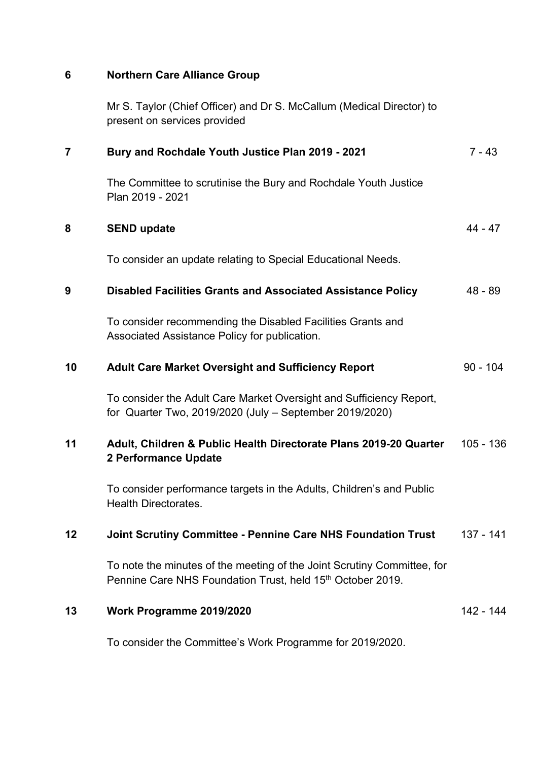## **6 Northern Care Alliance Group**

Mr S. Taylor (Chief Officer) and Dr S. McCallum (Medical Director) to present on services provided

| $\overline{7}$ | Bury and Rochdale Youth Justice Plan 2019 - 2021                                                                                      | $7 - 43$    |
|----------------|---------------------------------------------------------------------------------------------------------------------------------------|-------------|
|                | The Committee to scrutinise the Bury and Rochdale Youth Justice<br>Plan 2019 - 2021                                                   |             |
| 8              | <b>SEND update</b>                                                                                                                    | $44 - 47$   |
|                | To consider an update relating to Special Educational Needs.                                                                          |             |
| 9              | <b>Disabled Facilities Grants and Associated Assistance Policy</b>                                                                    | $48 - 89$   |
|                | To consider recommending the Disabled Facilities Grants and<br>Associated Assistance Policy for publication.                          |             |
| 10             | <b>Adult Care Market Oversight and Sufficiency Report</b>                                                                             | $90 - 104$  |
|                | To consider the Adult Care Market Oversight and Sufficiency Report,<br>for Quarter Two, 2019/2020 (July - September 2019/2020)        |             |
| 11             | Adult, Children & Public Health Directorate Plans 2019-20 Quarter<br>2 Performance Update                                             | $105 - 136$ |
|                | To consider performance targets in the Adults, Children's and Public<br><b>Health Directorates.</b>                                   |             |
| 12             | <b>Joint Scrutiny Committee - Pennine Care NHS Foundation Trust</b>                                                                   | $137 - 141$ |
|                | To note the minutes of the meeting of the Joint Scrutiny Committee, for<br>Pennine Care NHS Foundation Trust, held 15th October 2019. |             |
| 13             | Work Programme 2019/2020                                                                                                              | 142 - 144   |
|                |                                                                                                                                       |             |

To consider the Committee's Work Programme for 2019/2020.